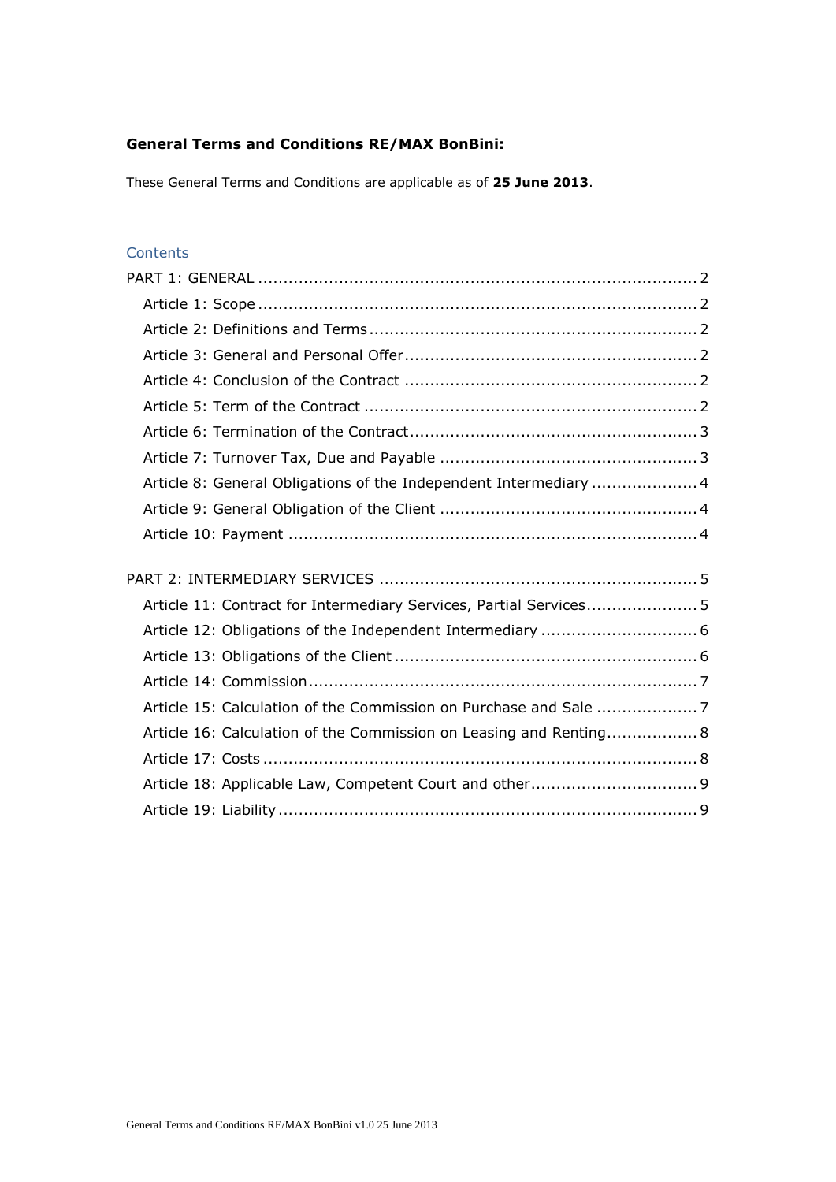# **General Terms and Conditions RE/MAX BonBini:**

These General Terms and Conditions are applicable as of **25 June 2013**.

# **Contents**

| Article 8: General Obligations of the Independent Intermediary  4  |  |
|--------------------------------------------------------------------|--|
|                                                                    |  |
|                                                                    |  |
|                                                                    |  |
|                                                                    |  |
|                                                                    |  |
| Article 11: Contract for Intermediary Services, Partial Services 5 |  |
|                                                                    |  |
|                                                                    |  |
|                                                                    |  |
|                                                                    |  |
| Article 16: Calculation of the Commission on Leasing and Renting 8 |  |
|                                                                    |  |
|                                                                    |  |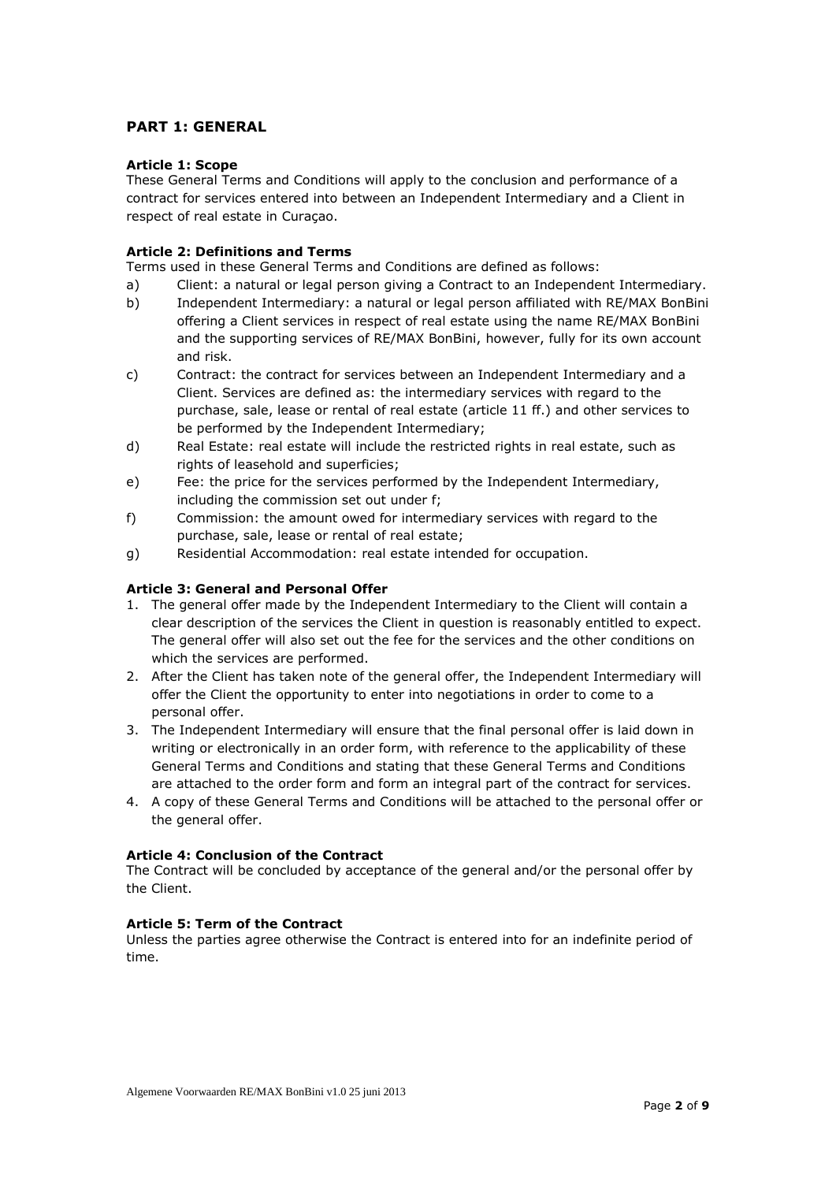# <span id="page-1-0"></span>**PART 1: GENERAL**

#### <span id="page-1-1"></span>**Article 1: Scope**

These General Terms and Conditions will apply to the conclusion and performance of a contract for services entered into between an Independent Intermediary and a Client in respect of real estate in Curaçao.

#### <span id="page-1-2"></span>**Article 2: Definitions and Terms**

Terms used in these General Terms and Conditions are defined as follows:

- a) Client: a natural or legal person giving a Contract to an Independent Intermediary.
- b) Independent Intermediary: a natural or legal person affiliated with RE/MAX BonBini offering a Client services in respect of real estate using the name RE/MAX BonBini and the supporting services of RE/MAX BonBini, however, fully for its own account and risk.
- c) Contract: the contract for services between an Independent Intermediary and a Client. Services are defined as: the intermediary services with regard to the purchase, sale, lease or rental of real estate (article 11 ff.) and other services to be performed by the Independent Intermediary;
- d) Real Estate: real estate will include the restricted rights in real estate, such as rights of leasehold and superficies;
- e) Fee: the price for the services performed by the Independent Intermediary, including the commission set out under f;
- f) Commission: the amount owed for intermediary services with regard to the purchase, sale, lease or rental of real estate;
- g) Residential Accommodation: real estate intended for occupation.

## <span id="page-1-3"></span>**Article 3: General and Personal Offer**

- 1. The general offer made by the Independent Intermediary to the Client will contain a clear description of the services the Client in question is reasonably entitled to expect. The general offer will also set out the fee for the services and the other conditions on which the services are performed.
- 2. After the Client has taken note of the general offer, the Independent Intermediary will offer the Client the opportunity to enter into negotiations in order to come to a personal offer.
- 3. The Independent Intermediary will ensure that the final personal offer is laid down in writing or electronically in an order form, with reference to the applicability of these General Terms and Conditions and stating that these General Terms and Conditions are attached to the order form and form an integral part of the contract for services.
- 4. A copy of these General Terms and Conditions will be attached to the personal offer or the general offer.

#### <span id="page-1-4"></span>**Article 4: Conclusion of the Contract**

The Contract will be concluded by acceptance of the general and/or the personal offer by the Client.

## <span id="page-1-5"></span>**Article 5: Term of the Contract**

<span id="page-1-6"></span>Unless the parties agree otherwise the Contract is entered into for an indefinite period of time.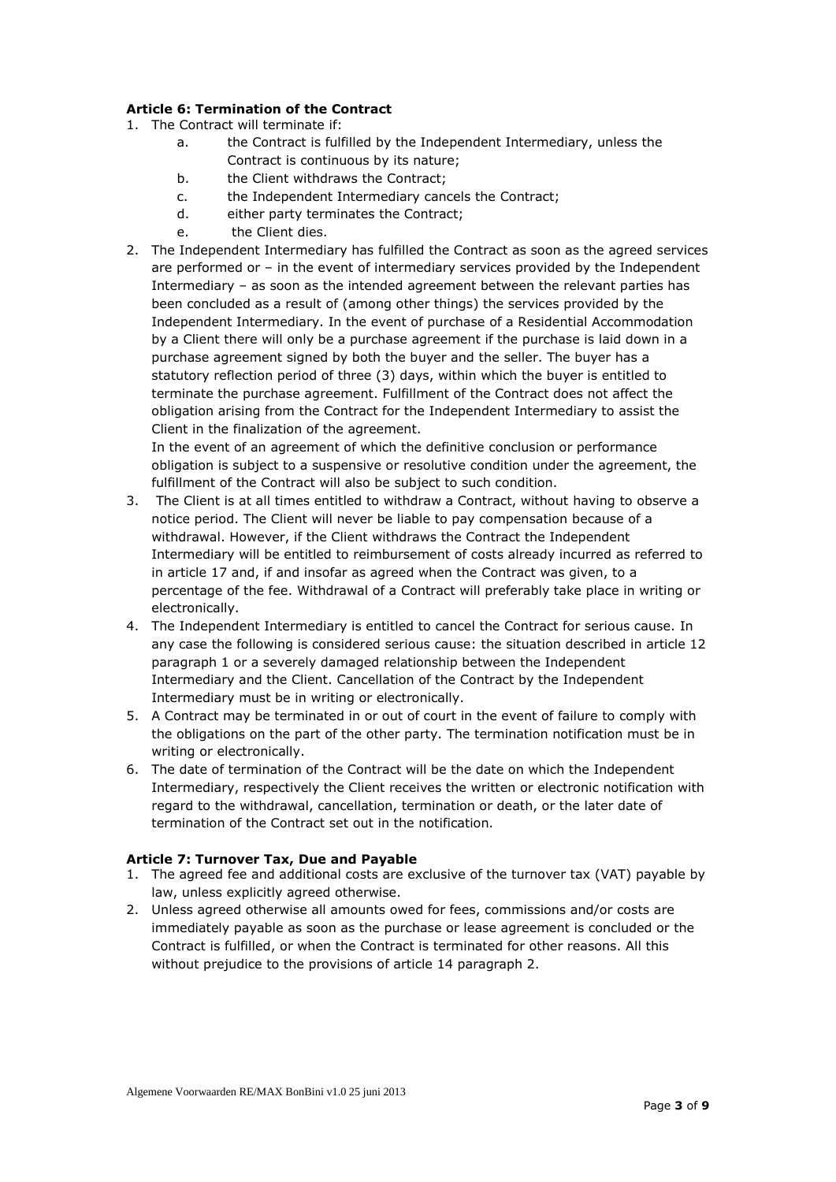# **Article 6: Termination of the Contract**

- 1. The Contract will terminate if:
	- a. the Contract is fulfilled by the Independent Intermediary, unless the Contract is continuous by its nature;
	- b. the Client withdraws the Contract;
	- c. the Independent Intermediary cancels the Contract;
	- d. either party terminates the Contract;
	- e. the Client dies.
- 2. The Independent Intermediary has fulfilled the Contract as soon as the agreed services are performed or – in the event of intermediary services provided by the Independent Intermediary – as soon as the intended agreement between the relevant parties has been concluded as a result of (among other things) the services provided by the Independent Intermediary. In the event of purchase of a Residential Accommodation by a Client there will only be a purchase agreement if the purchase is laid down in a purchase agreement signed by both the buyer and the seller. The buyer has a statutory reflection period of three (3) days, within which the buyer is entitled to terminate the purchase agreement. Fulfillment of the Contract does not affect the obligation arising from the Contract for the Independent Intermediary to assist the Client in the finalization of the agreement.

In the event of an agreement of which the definitive conclusion or performance obligation is subject to a suspensive or resolutive condition under the agreement, the fulfillment of the Contract will also be subject to such condition.

- 3. The Client is at all times entitled to withdraw a Contract, without having to observe a notice period. The Client will never be liable to pay compensation because of a withdrawal. However, if the Client withdraws the Contract the Independent Intermediary will be entitled to reimbursement of costs already incurred as referred to in article 17 and, if and insofar as agreed when the Contract was given, to a percentage of the fee. Withdrawal of a Contract will preferably take place in writing or electronically.
- 4. The Independent Intermediary is entitled to cancel the Contract for serious cause. In any case the following is considered serious cause: the situation described in article 12 paragraph 1 or a severely damaged relationship between the Independent Intermediary and the Client. Cancellation of the Contract by the Independent Intermediary must be in writing or electronically.
- 5. A Contract may be terminated in or out of court in the event of failure to comply with the obligations on the part of the other party. The termination notification must be in writing or electronically.
- 6. The date of termination of the Contract will be the date on which the Independent Intermediary, respectively the Client receives the written or electronic notification with regard to the withdrawal, cancellation, termination or death, or the later date of termination of the Contract set out in the notification.

# <span id="page-2-0"></span>**Article 7: Turnover Tax, Due and Payable**

- 1. The agreed fee and additional costs are exclusive of the turnover tax (VAT) payable by law, unless explicitly agreed otherwise.
- <span id="page-2-1"></span>2. Unless agreed otherwise all amounts owed for fees, commissions and/or costs are immediately payable as soon as the purchase or lease agreement is concluded or the Contract is fulfilled, or when the Contract is terminated for other reasons. All this without prejudice to the provisions of article 14 paragraph 2.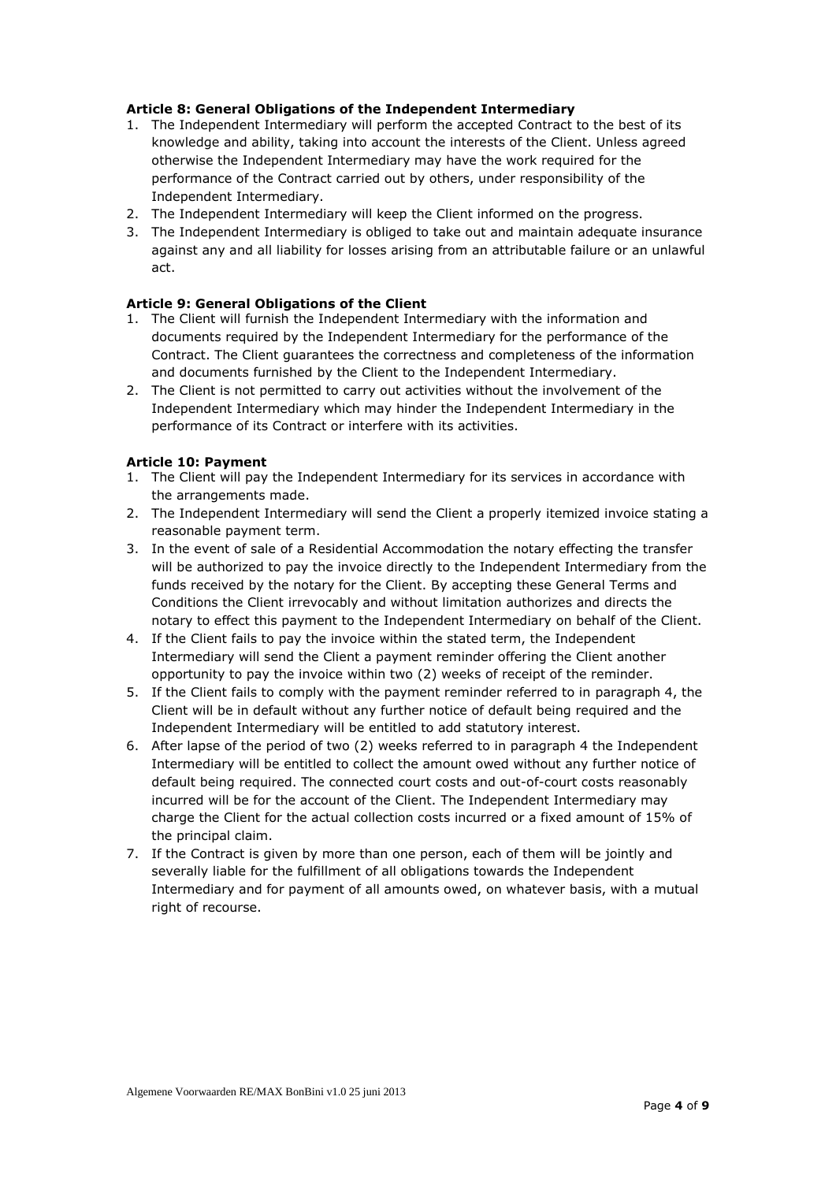## **Article 8: General Obligations of the Independent Intermediary**

- 1. The Independent Intermediary will perform the accepted Contract to the best of its knowledge and ability, taking into account the interests of the Client. Unless agreed otherwise the Independent Intermediary may have the work required for the performance of the Contract carried out by others, under responsibility of the Independent Intermediary.
- 2. The Independent Intermediary will keep the Client informed on the progress.
- 3. The Independent Intermediary is obliged to take out and maintain adequate insurance against any and all liability for losses arising from an attributable failure or an unlawful act.

#### <span id="page-3-0"></span>**Article 9: General Obligations of the Client**

- 1. The Client will furnish the Independent Intermediary with the information and documents required by the Independent Intermediary for the performance of the Contract. The Client guarantees the correctness and completeness of the information and documents furnished by the Client to the Independent Intermediary.
- 2. The Client is not permitted to carry out activities without the involvement of the Independent Intermediary which may hinder the Independent Intermediary in the performance of its Contract or interfere with its activities.

#### <span id="page-3-1"></span>**Article 10: Payment**

- 1. The Client will pay the Independent Intermediary for its services in accordance with the arrangements made.
- 2. The Independent Intermediary will send the Client a properly itemized invoice stating a reasonable payment term.
- 3. In the event of sale of a Residential Accommodation the notary effecting the transfer will be authorized to pay the invoice directly to the Independent Intermediary from the funds received by the notary for the Client. By accepting these General Terms and Conditions the Client irrevocably and without limitation authorizes and directs the notary to effect this payment to the Independent Intermediary on behalf of the Client.
- 4. If the Client fails to pay the invoice within the stated term, the Independent Intermediary will send the Client a payment reminder offering the Client another opportunity to pay the invoice within two (2) weeks of receipt of the reminder.
- 5. If the Client fails to comply with the payment reminder referred to in paragraph 4, the Client will be in default without any further notice of default being required and the Independent Intermediary will be entitled to add statutory interest.
- 6. After lapse of the period of two (2) weeks referred to in paragraph 4 the Independent Intermediary will be entitled to collect the amount owed without any further notice of default being required. The connected court costs and out-of-court costs reasonably incurred will be for the account of the Client. The Independent Intermediary may charge the Client for the actual collection costs incurred or a fixed amount of 15% of the principal claim.
- 7. If the Contract is given by more than one person, each of them will be jointly and severally liable for the fulfillment of all obligations towards the Independent Intermediary and for payment of all amounts owed, on whatever basis, with a mutual right of recourse.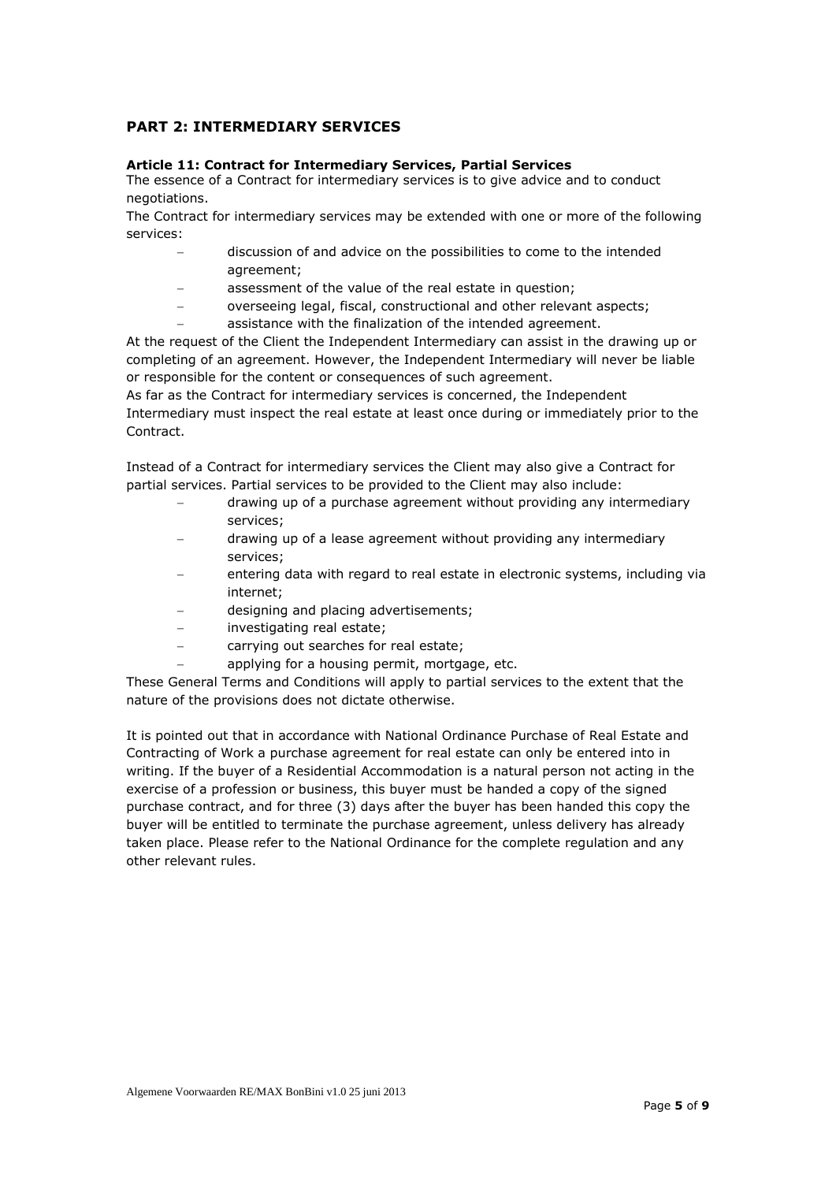# <span id="page-4-0"></span>**PART 2: INTERMEDIARY SERVICES**

#### <span id="page-4-1"></span>**Article 11: Contract for Intermediary Services, Partial Services**

The essence of a Contract for intermediary services is to give advice and to conduct negotiations.

The Contract for intermediary services may be extended with one or more of the following services:

- discussion of and advice on the possibilities to come to the intended agreement;
	- assessment of the value of the real estate in question;
- overseeing legal, fiscal, constructional and other relevant aspects;
- assistance with the finalization of the intended agreement.

At the request of the Client the Independent Intermediary can assist in the drawing up or completing of an agreement. However, the Independent Intermediary will never be liable or responsible for the content or consequences of such agreement.

As far as the Contract for intermediary services is concerned, the Independent Intermediary must inspect the real estate at least once during or immediately prior to the Contract.

Instead of a Contract for intermediary services the Client may also give a Contract for partial services. Partial services to be provided to the Client may also include:

- drawing up of a purchase agreement without providing any intermediary services;
- drawing up of a lease agreement without providing any intermediary services;
- entering data with regard to real estate in electronic systems, including via internet;
- designing and placing advertisements;
- investigating real estate;
- carrying out searches for real estate;
- applying for a housing permit, mortgage, etc.

These General Terms and Conditions will apply to partial services to the extent that the nature of the provisions does not dictate otherwise.

It is pointed out that in accordance with National Ordinance Purchase of Real Estate and Contracting of Work a purchase agreement for real estate can only be entered into in writing. If the buyer of a Residential Accommodation is a natural person not acting in the exercise of a profession or business, this buyer must be handed a copy of the signed purchase contract, and for three (3) days after the buyer has been handed this copy the buyer will be entitled to terminate the purchase agreement, unless delivery has already taken place. Please refer to the National Ordinance for the complete regulation and any other relevant rules.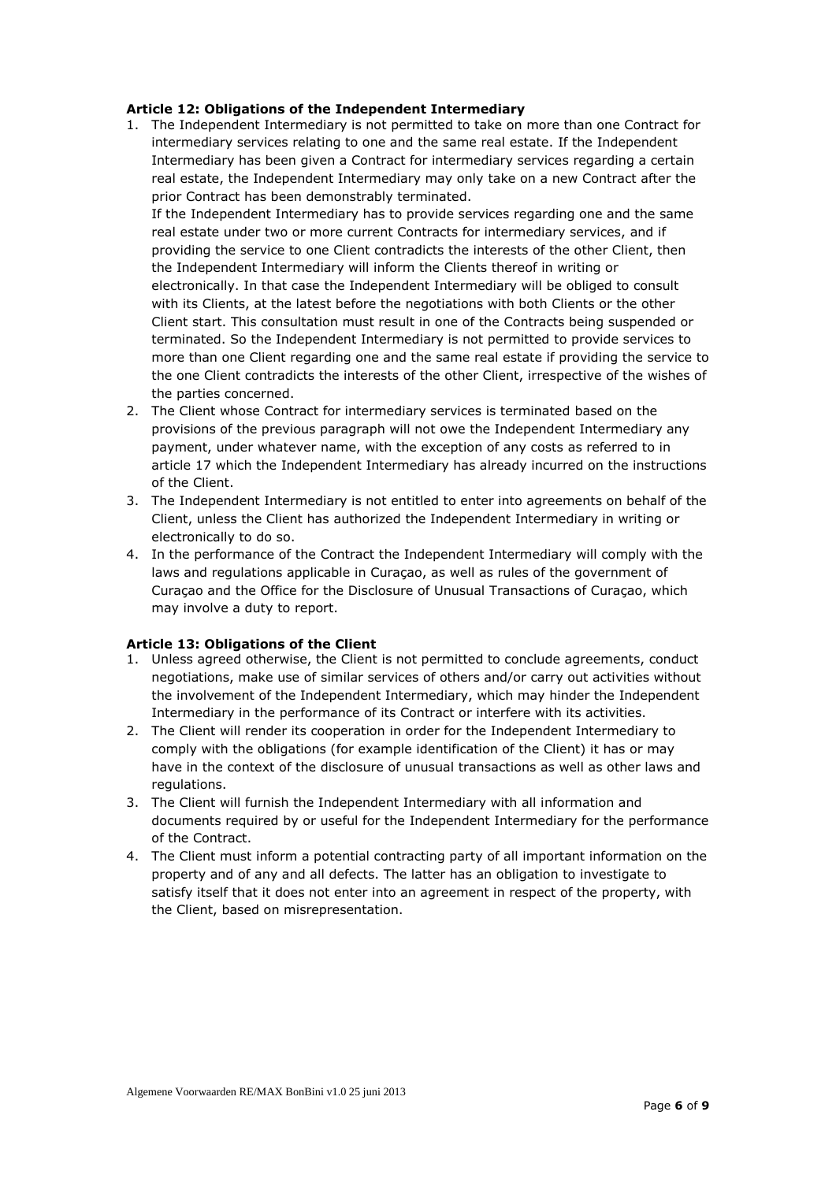#### <span id="page-5-0"></span>**Article 12: Obligations of the Independent Intermediary**

1. The Independent Intermediary is not permitted to take on more than one Contract for intermediary services relating to one and the same real estate. If the Independent Intermediary has been given a Contract for intermediary services regarding a certain real estate, the Independent Intermediary may only take on a new Contract after the prior Contract has been demonstrably terminated.

If the Independent Intermediary has to provide services regarding one and the same real estate under two or more current Contracts for intermediary services, and if providing the service to one Client contradicts the interests of the other Client, then the Independent Intermediary will inform the Clients thereof in writing or electronically. In that case the Independent Intermediary will be obliged to consult with its Clients, at the latest before the negotiations with both Clients or the other Client start. This consultation must result in one of the Contracts being suspended or terminated. So the Independent Intermediary is not permitted to provide services to more than one Client regarding one and the same real estate if providing the service to the one Client contradicts the interests of the other Client, irrespective of the wishes of the parties concerned.

- 2. The Client whose Contract for intermediary services is terminated based on the provisions of the previous paragraph will not owe the Independent Intermediary any payment, under whatever name, with the exception of any costs as referred to in article 17 which the Independent Intermediary has already incurred on the instructions of the Client.
- 3. The Independent Intermediary is not entitled to enter into agreements on behalf of the Client, unless the Client has authorized the Independent Intermediary in writing or electronically to do so.
- 4. In the performance of the Contract the Independent Intermediary will comply with the laws and regulations applicable in Curaçao, as well as rules of the government of Curaçao and the Office for the Disclosure of Unusual Transactions of Curaçao, which may involve a duty to report.

# <span id="page-5-1"></span>**Article 13: Obligations of the Client**

- 1. Unless agreed otherwise, the Client is not permitted to conclude agreements, conduct negotiations, make use of similar services of others and/or carry out activities without the involvement of the Independent Intermediary, which may hinder the Independent Intermediary in the performance of its Contract or interfere with its activities.
- 2. The Client will render its cooperation in order for the Independent Intermediary to comply with the obligations (for example identification of the Client) it has or may have in the context of the disclosure of unusual transactions as well as other laws and regulations.
- 3. The Client will furnish the Independent Intermediary with all information and documents required by or useful for the Independent Intermediary for the performance of the Contract.
- 4. The Client must inform a potential contracting party of all important information on the property and of any and all defects. The latter has an obligation to investigate to satisfy itself that it does not enter into an agreement in respect of the property, with the Client, based on misrepresentation.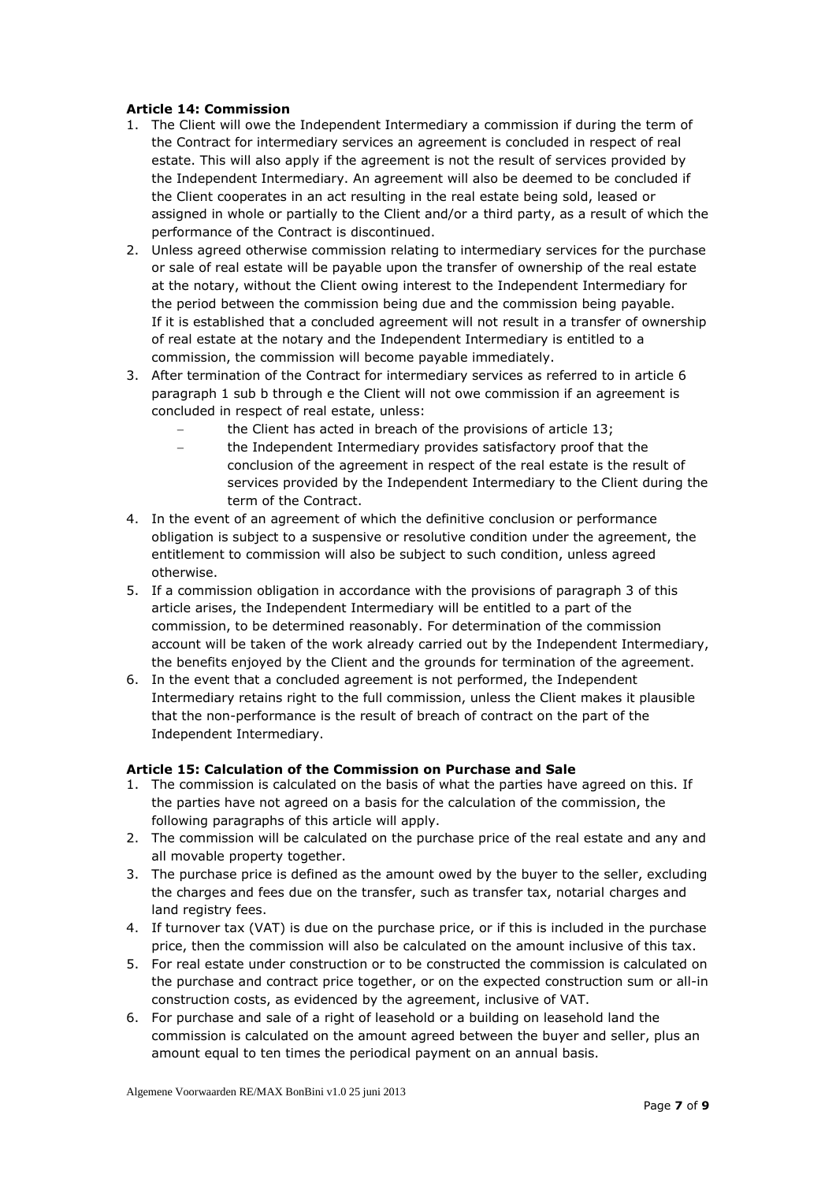## <span id="page-6-0"></span>**Article 14: Commission**

- 1. The Client will owe the Independent Intermediary a commission if during the term of the Contract for intermediary services an agreement is concluded in respect of real estate. This will also apply if the agreement is not the result of services provided by the Independent Intermediary. An agreement will also be deemed to be concluded if the Client cooperates in an act resulting in the real estate being sold, leased or assigned in whole or partially to the Client and/or a third party, as a result of which the performance of the Contract is discontinued.
- 2. Unless agreed otherwise commission relating to intermediary services for the purchase or sale of real estate will be payable upon the transfer of ownership of the real estate at the notary, without the Client owing interest to the Independent Intermediary for the period between the commission being due and the commission being payable. If it is established that a concluded agreement will not result in a transfer of ownership of real estate at the notary and the Independent Intermediary is entitled to a commission, the commission will become payable immediately.
- 3. After termination of the Contract for intermediary services as referred to in article 6 paragraph 1 sub b through e the Client will not owe commission if an agreement is concluded in respect of real estate, unless:
	- the Client has acted in breach of the provisions of article 13;
	- the Independent Intermediary provides satisfactory proof that the conclusion of the agreement in respect of the real estate is the result of services provided by the Independent Intermediary to the Client during the term of the Contract.
- 4. In the event of an agreement of which the definitive conclusion or performance obligation is subject to a suspensive or resolutive condition under the agreement, the entitlement to commission will also be subject to such condition, unless agreed otherwise.
- 5. If a commission obligation in accordance with the provisions of paragraph 3 of this article arises, the Independent Intermediary will be entitled to a part of the commission, to be determined reasonably. For determination of the commission account will be taken of the work already carried out by the Independent Intermediary, the benefits enjoyed by the Client and the grounds for termination of the agreement.
- 6. In the event that a concluded agreement is not performed, the Independent Intermediary retains right to the full commission, unless the Client makes it plausible that the non-performance is the result of breach of contract on the part of the Independent Intermediary.

# <span id="page-6-1"></span>**Article 15: Calculation of the Commission on Purchase and Sale**

- 1. The commission is calculated on the basis of what the parties have agreed on this. If the parties have not agreed on a basis for the calculation of the commission, the following paragraphs of this article will apply.
- 2. The commission will be calculated on the purchase price of the real estate and any and all movable property together.
- 3. The purchase price is defined as the amount owed by the buyer to the seller, excluding the charges and fees due on the transfer, such as transfer tax, notarial charges and land registry fees.
- 4. If turnover tax (VAT) is due on the purchase price, or if this is included in the purchase price, then the commission will also be calculated on the amount inclusive of this tax.
- 5. For real estate under construction or to be constructed the commission is calculated on the purchase and contract price together, or on the expected construction sum or all-in construction costs, as evidenced by the agreement, inclusive of VAT.
- 6. For purchase and sale of a right of leasehold or a building on leasehold land the commission is calculated on the amount agreed between the buyer and seller, plus an amount equal to ten times the periodical payment on an annual basis.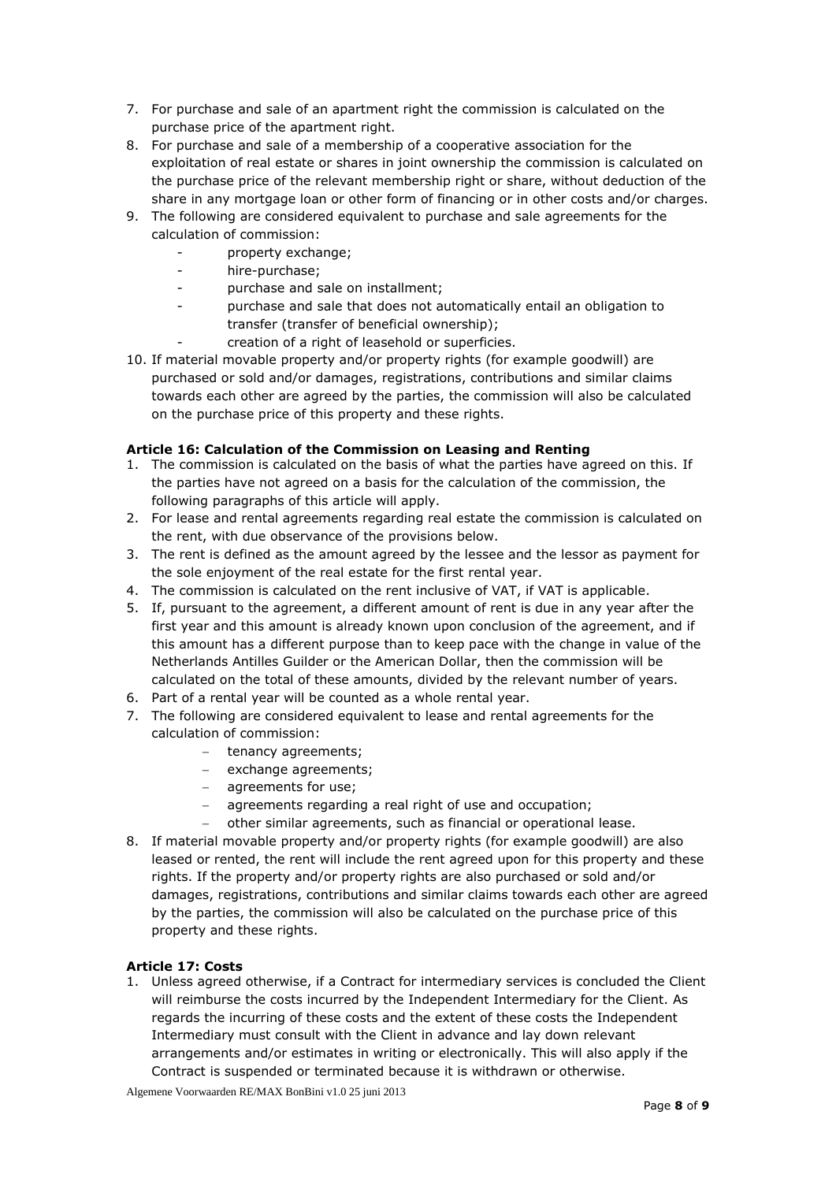- 7. For purchase and sale of an apartment right the commission is calculated on the purchase price of the apartment right.
- 8. For purchase and sale of a membership of a cooperative association for the exploitation of real estate or shares in joint ownership the commission is calculated on the purchase price of the relevant membership right or share, without deduction of the share in any mortgage loan or other form of financing or in other costs and/or charges.
- 9. The following are considered equivalent to purchase and sale agreements for the calculation of commission:
	- property exchange;
	- hire-purchase;
	- purchase and sale on installment;
	- purchase and sale that does not automatically entail an obligation to transfer (transfer of beneficial ownership);
	- creation of a right of leasehold or superficies.
- 10. If material movable property and/or property rights (for example goodwill) are purchased or sold and/or damages, registrations, contributions and similar claims towards each other are agreed by the parties, the commission will also be calculated on the purchase price of this property and these rights.

# <span id="page-7-0"></span>**Article 16: Calculation of the Commission on Leasing and Renting**

- 1. The commission is calculated on the basis of what the parties have agreed on this. If the parties have not agreed on a basis for the calculation of the commission, the following paragraphs of this article will apply.
- 2. For lease and rental agreements regarding real estate the commission is calculated on the rent, with due observance of the provisions below.
- 3. The rent is defined as the amount agreed by the lessee and the lessor as payment for the sole enjoyment of the real estate for the first rental year.
- 4. The commission is calculated on the rent inclusive of VAT, if VAT is applicable.
- 5. If, pursuant to the agreement, a different amount of rent is due in any year after the first year and this amount is already known upon conclusion of the agreement, and if this amount has a different purpose than to keep pace with the change in value of the Netherlands Antilles Guilder or the American Dollar, then the commission will be calculated on the total of these amounts, divided by the relevant number of years.
- 6. Part of a rental year will be counted as a whole rental year.
- 7. The following are considered equivalent to lease and rental agreements for the calculation of commission:
	- tenancy agreements:
	- $-$  exchange agreements;
	- agreements for use:
	- agreements regarding a real right of use and occupation;
	- other similar agreements, such as financial or operational lease.
- 8. If material movable property and/or property rights (for example goodwill) are also leased or rented, the rent will include the rent agreed upon for this property and these rights. If the property and/or property rights are also purchased or sold and/or damages, registrations, contributions and similar claims towards each other are agreed by the parties, the commission will also be calculated on the purchase price of this property and these rights.

# <span id="page-7-1"></span>**Article 17: Costs**

1. Unless agreed otherwise, if a Contract for intermediary services is concluded the Client will reimburse the costs incurred by the Independent Intermediary for the Client. As regards the incurring of these costs and the extent of these costs the Independent Intermediary must consult with the Client in advance and lay down relevant arrangements and/or estimates in writing or electronically. This will also apply if the Contract is suspended or terminated because it is withdrawn or otherwise.

Algemene Voorwaarden RE/MAX BonBini v1.0 25 juni 2013